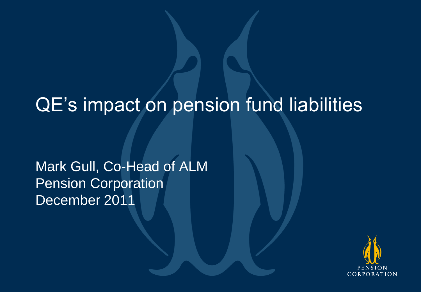# QE's impact on pension fund liabilities

Mark Gull, Co-Head of ALM Pension Corporation December 2011

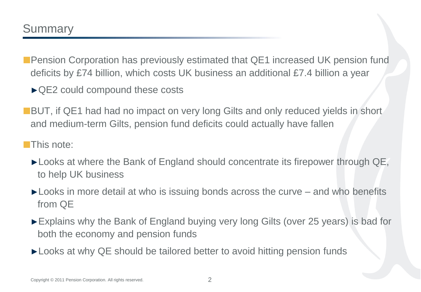- Pension Corporation has previously estimated that QE1 increased UK pension fund deficits by £74 billion, which costs UK business an additional £7.4 billion a year
	- ►QE2 could compound these costs
- ■BUT, if QE1 had had no impact on very long Gilts and only reduced yields in short and medium-term Gilts, pension fund deficits could actually have fallen

#### **This note:**

- ►Looks at where the Bank of England should concentrate its firepower through QE, to help UK business
- ►Looks in more detail at who is issuing bonds across the curve and who benefits from QE
- ►Explains why the Bank of England buying very long Gilts (over 25 years) is bad for both the economy and pension funds
- ► Looks at why QE should be tailored better to avoid hitting pension funds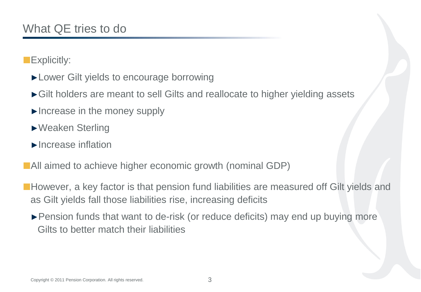**Explicitly:** 

- ►Lower Gilt yields to encourage borrowing
- ►Gilt holders are meant to sell Gilts and reallocate to higher yielding assets
- ►Increase in the money supply
- ►Weaken Sterling
- ►Increase inflation
- **All aimed to achieve higher economic growth (nominal GDP)**
- **However, a key factor is that pension fund liabilities are measured off Gilt yields and** as Gilt yields fall those liabilities rise, increasing deficits
	- ►Pension funds that want to de-risk (or reduce deficits) may end up buying more Gilts to better match their liabilities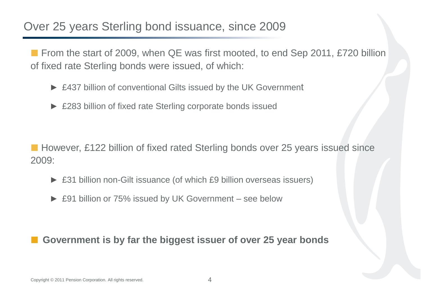# Over 25 years Sterling bond issuance, since 2009

■ From the start of 2009, when QE was first mooted, to end Sep 2011, £720 billion of fixed rate Sterling bonds were issued, of which:

- ► £437 billion of conventional Gilts issued by the UK Government
- ► £283 billion of fixed rate Sterling corporate bonds issued

■ However, £122 billion of fixed rated Sterling bonds over 25 years issued since 2009:

- ► £31 billion non-Gilt issuance (of which £9 billion overseas issuers)
- ► £91 billion or 75% issued by UK Government see below

**Government is by far the biggest issuer of over 25 year bonds**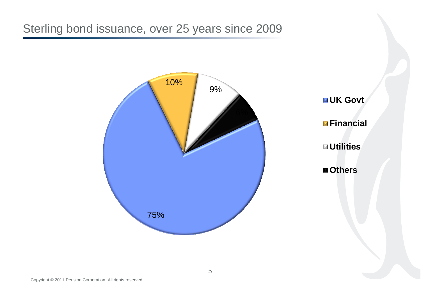Sterling bond issuance, over 25 years since 2009

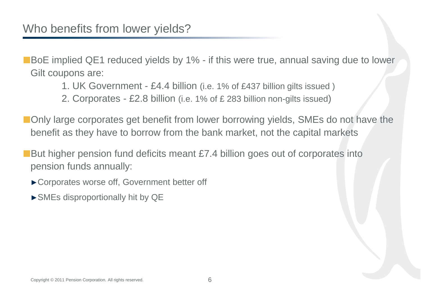■BoE implied QE1 reduced yields by 1% - if this were true, annual saving due to lower Gilt coupons are:

- 1. UK Government £4.4 billion (i.e. 1% of £437 billion gilts issued )
- 2. Corporates £2.8 billion (i.e. 1% of £ 283 billion non-gilts issued)

**Only large corporates get benefit from lower borrowing yields, SMEs do not have the** benefit as they have to borrow from the bank market, not the capital markets

■But higher pension fund deficits meant £7.4 billion goes out of corporates into pension funds annually:

- ►Corporates worse off, Government better off
- ►SMEs disproportionally hit by QE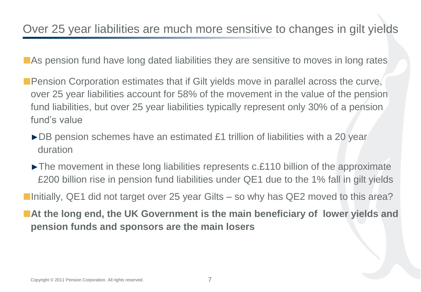**As pension fund have long dated liabilities they are sensitive to moves in long rates** 

- **Pension Corporation estimates that if Gilt yields move in parallel across the curve,** over 25 year liabilities account for 58% of the movement in the value of the pension fund liabilities, but over 25 year liabilities typically represent only 30% of a pension fund's value
	- ►DB pension schemes have an estimated £1 trillion of liabilities with a 20 year duration
	- ►The movement in these long liabilities represents c.£110 billion of the approximate £200 billion rise in pension fund liabilities under QE1 due to the 1% fall in gilt yields

**Initially, QE1 did not target over 25 year Gilts – so why has QE2 moved to this area?** 

■ At the long end, the UK Government is the main beneficiary of lower yields and **pension funds and sponsors are the main losers**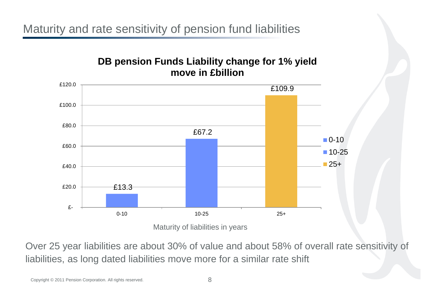Maturity and rate sensitivity of pension fund liabilities

### **DB pension Funds Liability change for 1% yield move in £billion**



Maturity of liabilities in years

Over 25 year liabilities are about 30% of value and about 58% of overall rate sensitivity of liabilities, as long dated liabilities move more for a similar rate shift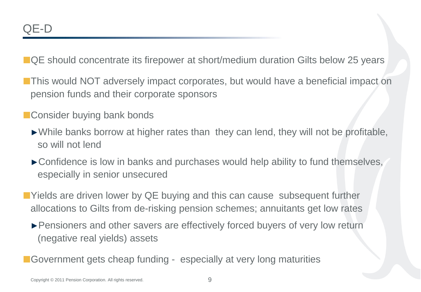■ QE should concentrate its firepower at short/medium duration Gilts below 25 years

- **This would NOT adversely impact corporates, but would have a beneficial impact on** pension funds and their corporate sponsors
- Consider buying bank bonds
	- ►While banks borrow at higher rates than they can lend, they will not be profitable, so will not lend
	- ►Confidence is low in banks and purchases would help ability to fund themselves, especially in senior unsecured
- ■Yields are driven lower by QE buying and this can cause subsequent further allocations to Gilts from de-risking pension schemes; annuitants get low rates
	- ►Pensioners and other savers are effectively forced buyers of very low return (negative real yields) assets
- Government gets cheap funding especially at very long maturities